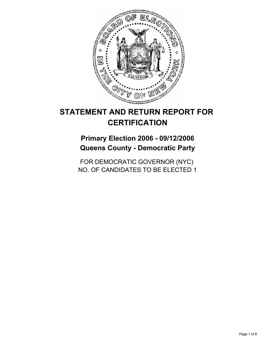

# **STATEMENT AND RETURN REPORT FOR CERTIFICATION**

**Primary Election 2006 - 09/12/2006 Queens County - Democratic Party**

FOR DEMOCRATIC GOVERNOR (NYC) NO. OF CANDIDATES TO BE ELECTED 1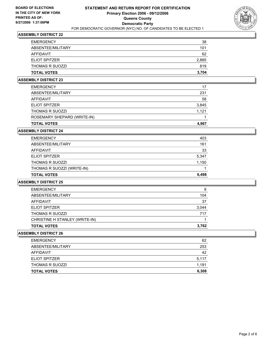

| <b>TOTAL VOTES</b>     | 3,704 |
|------------------------|-------|
| <b>THOMAS R SUOZZI</b> | 819   |
| <b>ELIOT SPITZER</b>   | 2,885 |
| AFFIDAVIT              | 62    |
| ABSENTEE/MILITARY      | 101   |
| <b>EMERGENCY</b>       | 38    |

#### **ASSEMBLY DISTRICT 23**

| <b>TOTAL VOTES</b>          | 4,967 |
|-----------------------------|-------|
| ROSEMARY SHEPARD (WRITE-IN) |       |
| <b>THOMAS R SUOZZI</b>      | 1,121 |
| <b>ELIOT SPITZER</b>        | 3,845 |
| AFFIDAVIT                   | 58    |
| ABSENTEE/MILITARY           | 231   |
| <b>EMERGENCY</b>            | 17    |

#### **ASSEMBLY DISTRICT 24**

| <b>EMERGENCY</b>           | 403   |
|----------------------------|-------|
| ABSENTEE/MILITARY          | 161   |
| AFFIDAVIT                  | 33    |
| <b>ELIOT SPITZER</b>       | 5,347 |
| <b>THOMAS R SUOZZI</b>     | 1,150 |
| THOMAS R SUOZZI (WRITE-IN) |       |
| <b>TOTAL VOTES</b>         | 6,498 |

#### **ASSEMBLY DISTRICT 25**

| <b>EMERGENCY</b>               | 9     |
|--------------------------------|-------|
| ABSENTEE/MILITARY              | 104   |
| AFFIDAVIT                      | 37    |
| <b>ELIOT SPITZER</b>           | 3,044 |
| <b>THOMAS R SUOZZI</b>         | 717   |
| CHRISTINE H STANLEY (WRITE-IN) |       |
| <b>TOTAL VOTES</b>             | 3,762 |

| <b>TOTAL VOTES</b>   | 6,308 |
|----------------------|-------|
| THOMAS R SUOZZI      | 1,191 |
| <b>ELIOT SPITZER</b> | 5,117 |
| AFFIDAVIT            | 42    |
| ABSENTEE/MILITARY    | 253   |
| <b>EMERGENCY</b>     | 62    |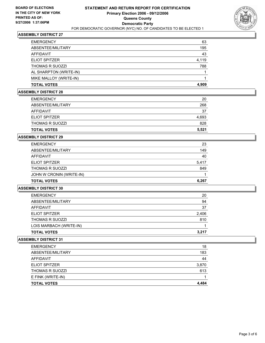

| <b>TOTAL VOTES</b>     | 4.909 |
|------------------------|-------|
| MIKE MALLOY (WRITE-IN) |       |
| AL SHARPTON (WRITE-IN) |       |
| <b>THOMAS R SUOZZI</b> | 788   |
| ELIOT SPITZER          | 4,119 |
| AFFIDAVIT              | 43    |
| ABSENTEE/MILITARY      | 195   |
| <b>EMERGENCY</b>       | 63    |

# **ASSEMBLY DISTRICT 28**

| <b>EMERGENCY</b>       | 20    |
|------------------------|-------|
| ABSENTEE/MILITARY      | 268   |
| <b>AFFIDAVIT</b>       | 37    |
| ELIOT SPITZER          | 4,693 |
| <b>THOMAS R SUOZZI</b> | 828   |
| <b>TOTAL VOTES</b>     | 5,521 |

#### **ASSEMBLY DISTRICT 29**

| <b>EMERGENCY</b>         | 23    |
|--------------------------|-------|
| ABSENTEE/MILITARY        | 149   |
| AFFIDAVIT                | 40    |
| <b>ELIOT SPITZER</b>     | 5,417 |
| <b>THOMAS R SUOZZI</b>   | 849   |
| JOHN W CRONIN (WRITE-IN) |       |
| <b>TOTAL VOTES</b>       | 6,267 |

#### **ASSEMBLY DISTRICT 30**

| <b>EMERGENCY</b>        | 20    |
|-------------------------|-------|
|                         |       |
| ABSENTEE/MILITARY       | 94    |
| AFFIDAVIT               | 37    |
| <b>ELIOT SPITZER</b>    | 2,406 |
| <b>THOMAS R SUOZZI</b>  | 810   |
| LOIS MARBACH (WRITE-IN) |       |
| <b>TOTAL VOTES</b>      | 3,217 |
|                         |       |

| <b>EMERGENCY</b>       | 18    |
|------------------------|-------|
| ABSENTEE/MILITARY      | 183   |
| AFFIDAVIT              | 44    |
| <b>ELIOT SPITZER</b>   | 3,870 |
| <b>THOMAS R SUOZZI</b> | 613   |
| E FINK (WRITE-IN)      |       |
| <b>TOTAL VOTES</b>     | 4,484 |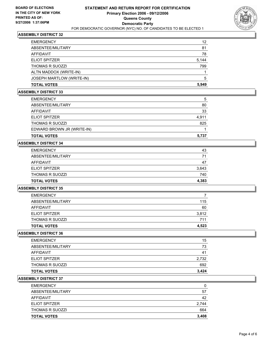

| <b>EMERGENCY</b>          | 12    |
|---------------------------|-------|
| ABSENTEE/MILITARY         | 81    |
| AFFIDAVIT                 | 78    |
| <b>ELIOT SPITZER</b>      | 5,144 |
| <b>THOMAS R SUOZZI</b>    | 799   |
| ALTN MADDOX (WRITE-IN)    |       |
| JOSEPH MARTLOW (WRITE-IN) | 5     |
| <b>TOTAL VOTES</b>        | 5,949 |

## **ASSEMBLY DISTRICT 33**

| <b>EMERGENCY</b>           | 5     |
|----------------------------|-------|
| ABSENTEE/MILITARY          | 80    |
| AFFIDAVIT                  | 33    |
| <b>ELIOT SPITZER</b>       | 4,911 |
| <b>THOMAS R SUOZZI</b>     | 825   |
| EDWARD BROWN JR (WRITE-IN) |       |
| <b>TOTAL VOTES</b>         | 5,737 |

# **ASSEMBLY DISTRICT 34**

| <b>EMERGENCY</b>     | 43    |
|----------------------|-------|
| ABSENTEE/MILITARY    | 71    |
| AFFIDAVIT            | 47    |
| <b>ELIOT SPITZER</b> | 3,643 |
| THOMAS R SUOZZI      | 740   |
| <b>TOTAL VOTES</b>   | 4,383 |

#### **ASSEMBLY DISTRICT 35**

| <b>TOTAL VOTES</b>     | 4.523 |
|------------------------|-------|
| <b>THOMAS R SUOZZI</b> | 711   |
| <b>ELIOT SPITZER</b>   | 3,812 |
| AFFIDAVIT              | 60    |
| ABSENTEE/MILITARY      | 115   |
| <b>EMERGENCY</b>       |       |

## **ASSEMBLY DISTRICT 36**

| <b>TOTAL VOTES</b>     | 3,424 |
|------------------------|-------|
| <b>THOMAS R SUOZZI</b> | 692   |
| <b>ELIOT SPITZER</b>   | 2,732 |
| AFFIDAVIT              | 41    |
| ABSENTEE/MILITARY      | 73    |
| <b>EMERGENCY</b>       | 15    |

| <b>TOTAL VOTES</b>     | 3,408 |
|------------------------|-------|
| <b>THOMAS R SUOZZI</b> | 664   |
| <b>ELIOT SPITZER</b>   | 2,744 |
| AFFIDAVIT              | 42    |
| ABSENTEE/MILITARY      | 57    |
| <b>EMERGENCY</b>       |       |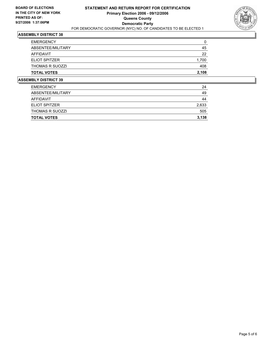

| <b>IMBLY BICTBICT 20</b> |       |
|--------------------------|-------|
| <b>TOTAL VOTES</b>       | 2,108 |
| <b>THOMAS R SUOZZI</b>   | 408   |
| <b>ELIOT SPITZER</b>     | 1,700 |
| AFFIDAVIT                | 22    |
| ABSENTEE/MILITARY        | 45    |
| <b>EMERGENCY</b>         | 0     |

| <b>THOMAS R SUOZZI</b> | 505   |
|------------------------|-------|
| <b>ELIOT SPITZER</b>   | 2,633 |
| AFFIDAVIT              | 44    |
| ABSENTEE/MILITARY      | 49    |
| <b>EMERGENCY</b>       | 24    |